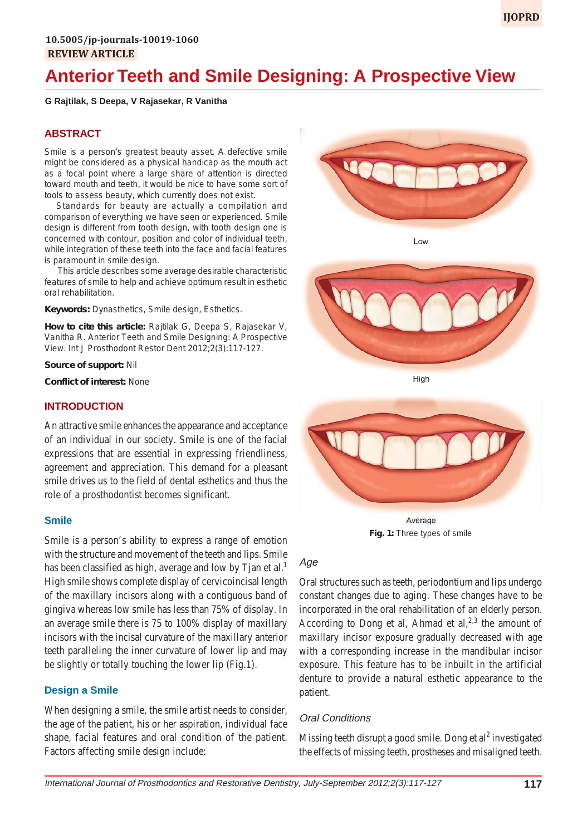# **Anterior Teeth and Smile Designing: A Prospective View**

#### **G Rajtilak, S Deepa, V Rajasekar, R Vanitha**

## **ABSTRACT**

Smile is a person's greatest beauty asset. A defective smile might be considered as a physical handicap as the mouth act as a focal point where a large share of attention is directed toward mouth and teeth, it would be nice to have some sort of tools to assess beauty, which currently does not exist.

Standards for beauty are actually a compilation and comparison of everything we have seen or experienced. Smile design is different from tooth design, with tooth design one is concerned with contour, position and color of individual teeth, while integration of these teeth into the face and facial features is paramount in smile design.

This article describes some average desirable characteristic features of smile to help and achieve optimum result in esthetic oral rehabilitation.

**Keywords:** Dynasthetics, Smile design, Esthetics.

**How to cite this article:** Rajtilak G, Deepa S, Rajasekar V, Vanitha R. Anterior Teeth and Smile Designing: A Prospective View. Int J Prosthodont Restor Dent 2012;2(3):117-127.

#### **Source of support:** Nil

**Conflict of interest:** None

#### **INTRODUCTION**

An attractive smile enhances the appearance and acceptance of an individual in our society. Smile is one of the facial expressions that are essential in expressing friendliness, agreement and appreciation. This demand for a pleasant smile drives us to the field of dental esthetics and thus the role of a prosthodontist becomes significant.

#### **Smile**

Smile is a person's ability to express a range of emotion with the structure and movement of the teeth and lips. Smile has been classified as high, average and low by Tjan et al.<sup>1</sup> High smile shows complete display of cervicoincisal length of the maxillary incisors along with a contiguous band of gingiva whereas low smile has less than 75% of display. In an average smile there is 75 to 100% display of maxillary incisors with the incisal curvature of the maxillary anterior teeth paralleling the inner curvature of lower lip and may be slightly or totally touching the lower lip (Fig.1).

## **Design a Smile**

When designing a smile, the smile artist needs to consider, the age of the patient, his or her aspiration, individual face shape, facial features and oral condition of the patient. Factors affecting smile design include:



Low



High



Average **Fig. 1:** Three types of smile

#### Age

Oral structures such as teeth, periodontium and lips undergo constant changes due to aging. These changes have to be incorporated in the oral rehabilitation of an elderly person. According to Dong et al, Ahmad et al,  $^{2,3}$  the amount of maxillary incisor exposure gradually decreased with age with a corresponding increase in the mandibular incisor exposure. This feature has to be inbuilt in the artificial denture to provide a natural esthetic appearance to the patient.

#### Oral Conditions

Missing teeth disrupt a good smile. Dong et al<sup>2</sup> investigated the effects of missing teeth, prostheses and misaligned teeth.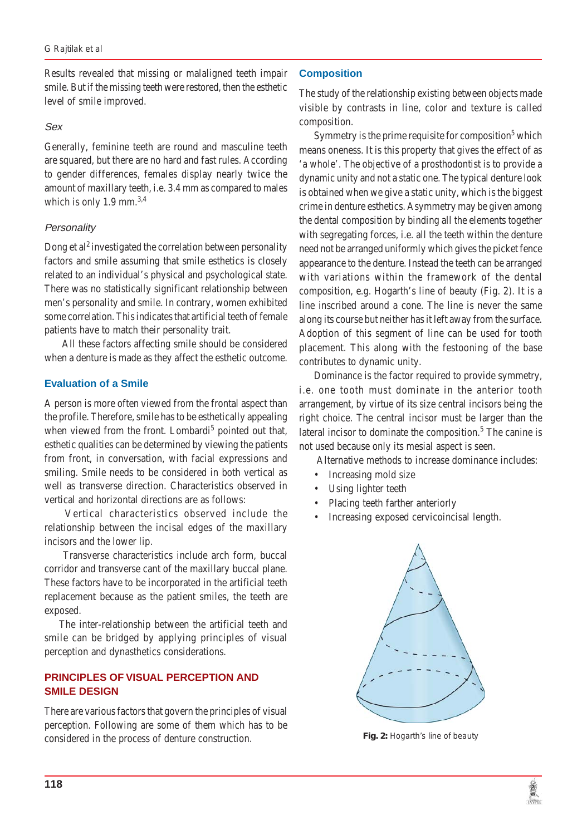Results revealed that missing or malaligned teeth impair smile. But if the missing teeth were restored, then the esthetic level of smile improved.

#### Sex

Generally, feminine teeth are round and masculine teeth are squared, but there are no hard and fast rules. According to gender differences, females display nearly twice the amount of maxillary teeth, i.e. 3.4 mm as compared to males which is only 1.9 mm.<sup>3,4</sup>

#### **Personality**

Dong et al<sup>2</sup> investigated the correlation between personality factors and smile assuming that smile esthetics is closely related to an individual's physical and psychological state. There was no statistically significant relationship between men's personality and smile. In contrary, women exhibited some correlation. This indicates that artificial teeth of female patients have to match their personality trait.

 All these factors affecting smile should be considered when a denture is made as they affect the esthetic outcome.

#### **Evaluation of a Smile**

A person is more often viewed from the frontal aspect than the profile. Therefore, smile has to be esthetically appealing when viewed from the front. Lombardi<sup>5</sup> pointed out that, esthetic qualities can be determined by viewing the patients from front, in conversation, with facial expressions and smiling. Smile needs to be considered in both vertical as well as transverse direction. Characteristics observed in vertical and horizontal directions are as follows:

 Vertical characteristics observed include the relationship between the incisal edges of the maxillary incisors and the lower lip.

 Transverse characteristics include arch form, buccal corridor and transverse cant of the maxillary buccal plane. These factors have to be incorporated in the artificial teeth replacement because as the patient smiles, the teeth are exposed.

The inter-relationship between the artificial teeth and smile can be bridged by applying principles of visual perception and dynasthetics considerations.

## **PRINCIPLES OF VISUAL PERCEPTION AND SMILE DESIGN**

There are various factors that govern the principles of visual perception. Following are some of them which has to be considered in the process of denture construction.

#### **Composition**

The study of the relationship existing between objects made visible by contrasts in line, color and texture is called composition.

Symmetry is the prime requisite for composition<sup>5</sup> which means oneness. It is this property that gives the effect of as 'a whole'. The objective of a prosthodontist is to provide a dynamic unity and not a static one. The typical denture look is obtained when we give a static unity, which is the biggest crime in denture esthetics. Asymmetry may be given among the dental composition by binding all the elements together with segregating forces, i.e. all the teeth within the denture need not be arranged uniformly which gives the picket fence appearance to the denture. Instead the teeth can be arranged with variations within the framework of the dental composition, e.g. Hogarth's line of beauty (Fig. 2). It is a line inscribed around a cone. The line is never the same along its course but neither has it left away from the surface. Adoption of this segment of line can be used for tooth placement. This along with the festooning of the base contributes to dynamic unity.

Dominance is the factor required to provide symmetry, i.e. one tooth must dominate in the anterior tooth arrangement, by virtue of its size central incisors being the right choice. The central incisor must be larger than the lateral incisor to dominate the composition.<sup>5</sup> The canine is not used because only its mesial aspect is seen.

Alternative methods to increase dominance includes:

- Increasing mold size
- Using lighter teeth
- Placing teeth farther anteriorly
- Increasing exposed cervicoincisal length.



**Fig. 2:** Hogarth's line of beauty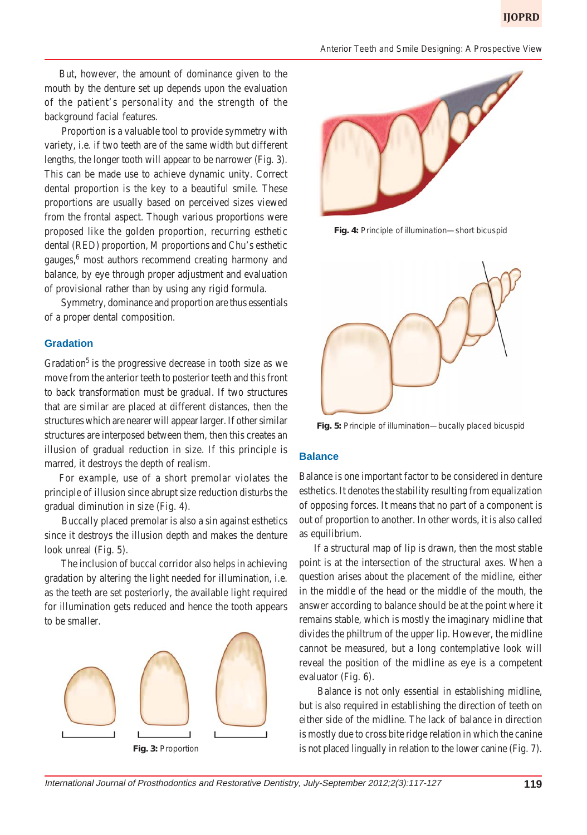But, however, the amount of dominance given to the mouth by the denture set up depends upon the evaluation of the patient's personality and the strength of the background facial features.

 Proportion is a valuable tool to provide symmetry with variety, i.e. if two teeth are of the same width but different lengths, the longer tooth will appear to be narrower (Fig. 3). This can be made use to achieve dynamic unity. Correct dental proportion is the key to a beautiful smile. These proportions are usually based on perceived sizes viewed from the frontal aspect. Though various proportions were proposed like the golden proportion, recurring esthetic dental (RED) proportion, M proportions and Chu's esthetic gauges,<sup>6</sup> most authors recommend creating harmony and balance, by eye through proper adjustment and evaluation of provisional rather than by using any rigid formula.

 Symmetry, dominance and proportion are thus essentials of a proper dental composition.

#### **Gradation**

Gradation<sup>5</sup> is the progressive decrease in tooth size as we move from the anterior teeth to posterior teeth and this front to back transformation must be gradual. If two structures that are similar are placed at different distances, then the structures which are nearer will appear larger. If other similar structures are interposed between them, then this creates an illusion of gradual reduction in size. If this principle is marred, it destroys the depth of realism.

For example, use of a short premolar violates the principle of illusion since abrupt size reduction disturbs the gradual diminution in size (Fig. 4).

 Buccally placed premolar is also a sin against esthetics since it destroys the illusion depth and makes the denture look unreal (Fig. 5).

 The inclusion of buccal corridor also helps in achieving gradation by altering the light needed for illumination, i.e. as the teeth are set posteriorly, the available light required for illumination gets reduced and hence the tooth appears to be smaller.





**Fig. 4:** Principle of illumination—short bicuspid



**Fig. 5:** Principle of illumination—bucally placed bicuspid

#### **Balance**

Balance is one important factor to be considered in denture esthetics. It denotes the stability resulting from equalization of opposing forces. It means that no part of a component is out of proportion to another. In other words, it is also called as equilibrium.

If a structural map of lip is drawn, then the most stable point is at the intersection of the structural axes. When a question arises about the placement of the midline, either in the middle of the head or the middle of the mouth, the answer according to balance should be at the point where it remains stable, which is mostly the imaginary midline that divides the philtrum of the upper lip. However, the midline cannot be measured, but a long contemplative look will reveal the position of the midline as eye is a competent evaluator (Fig. 6).

 Balance is not only essential in establishing midline, but is also required in establishing the direction of teeth on either side of the midline. The lack of balance in direction is mostly due to cross bite ridge relation in which the canine **Fig. 3:** Proportion is not placed lingually in relation to the lower canine (Fig. 7).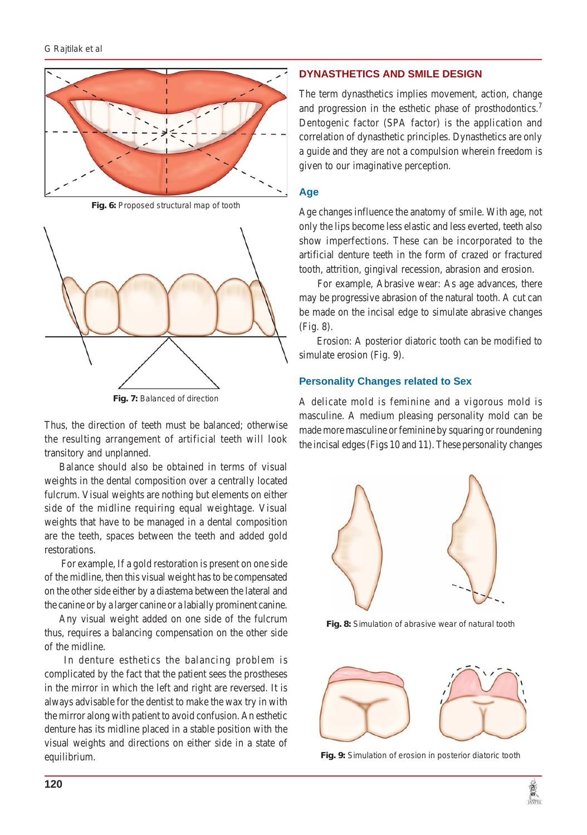

**Fig. 6:** Proposed structural map of tooth



**Fig. 7:** Balanced of direction

Thus, the direction of teeth must be balanced; otherwise the resulting arrangement of artificial teeth will look transitory and unplanned.

Balance should also be obtained in terms of visual weights in the dental composition over a centrally located fulcrum. Visual weights are nothing but elements on either side of the midline requiring equal weightage. Visual weights that have to be managed in a dental composition are the teeth, spaces between the teeth and added gold restorations.

 For example, If a gold restoration is present on one side of the midline, then this visual weight has to be compensated on the other side either by a diastema between the lateral and the canine or by a larger canine or a labially prominent canine.

Any visual weight added on one side of the fulcrum thus, requires a balancing compensation on the other side of the midline.

 In denture esthetics the balancing problem is complicated by the fact that the patient sees the prostheses in the mirror in which the left and right are reversed. It is always advisable for the dentist to make the wax try in with the mirror along with patient to avoid confusion. An esthetic denture has its midline placed in a stable position with the visual weights and directions on either side in a state of equilibrium.

#### **DYNASTHETICS AND SMILE DESIGN**

The term dynasthetics implies movement, action, change and progression in the esthetic phase of prosthodontics.<sup>7</sup> Dentogenic factor (SPA factor) is the application and correlation of dynasthetic principles. Dynasthetics are only a guide and they are not a compulsion wherein freedom is given to our imaginative perception.

#### **Age**

Age changes influence the anatomy of smile. With age, not only the lips become less elastic and less everted, teeth also show imperfections. These can be incorporated to the artificial denture teeth in the form of crazed or fractured tooth, attrition, gingival recession, abrasion and erosion.

For example, Abrasive wear: As age advances, there may be progressive abrasion of the natural tooth. A cut can be made on the incisal edge to simulate abrasive changes (Fig. 8).

 Erosion: A posterior diatoric tooth can be modified to simulate erosion (Fig. 9).

#### **Personality Changes related to Sex**

A delicate mold is feminine and a vigorous mold is masculine. A medium pleasing personality mold can be made more masculine or feminine by squaring or roundening the incisal edges (Figs 10 and 11). These personality changes



**Fig. 8:** Simulation of abrasive wear of natural tooth



**Fig. 9:** Simulation of erosion in posterior diatoric tooth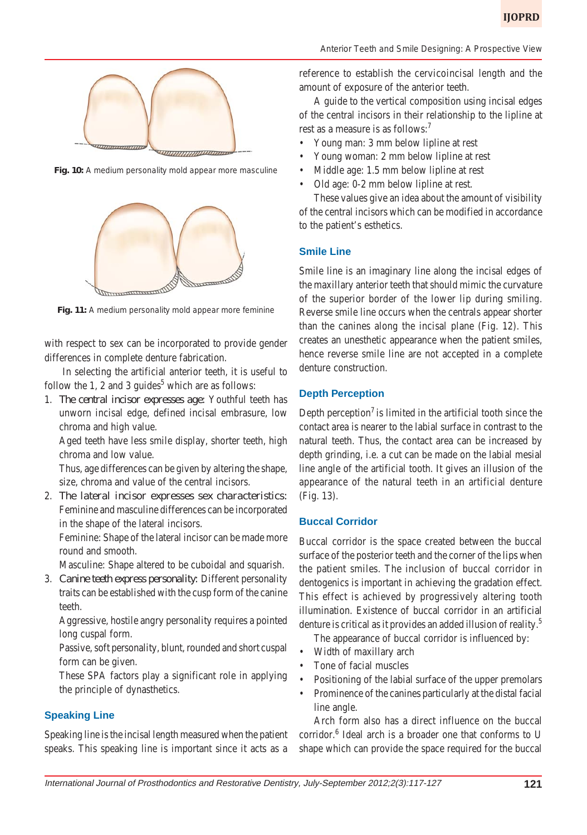

**Fig. 10:** A medium personality mold appear more masculine



Fig. 11: A medium personality mold appear more feminine

with respect to sex can be incorporated to provide gender differences in complete denture fabrication.

 In selecting the artificial anterior teeth, it is useful to follow the 1, 2 and 3 guides<sup>5</sup> which are as follows:

1. *The central incisor expresses age:* Youthful teeth has unworn incisal edge, defined incisal embrasure, low chroma and high value.

Aged teeth have less smile display, shorter teeth, high chroma and low value.

Thus, age differences can be given by altering the shape, size, chroma and value of the central incisors.

2. *The lateral incisor expresses sex characteristics:* Feminine and masculine differences can be incorporated in the shape of the lateral incisors.

Feminine: Shape of the lateral incisor can be made more round and smooth.

Masculine: Shape altered to be cuboidal and squarish.

3. *Canine teeth express personality:* Different personality traits can be established with the cusp form of the canine teeth.

Aggressive, hostile angry personality requires a pointed long cuspal form.

Passive, soft personality, blunt, rounded and short cuspal form can be given.

These SPA factors play a significant role in applying the principle of dynasthetics.

#### **Speaking Line**

Speaking line is the incisal length measured when the patient speaks. This speaking line is important since it acts as a

*Anterior Teeth and Smile Designing: A Prospective View*

reference to establish the cervicoincisal length and the amount of exposure of the anterior teeth.

A guide to the vertical composition using incisal edges of the central incisors in their relationship to the lipline at rest as a measure is as follows:<sup>7</sup>

- Young man: 3 mm below lipline at rest
- Young woman: 2 mm below lipline at rest
- Middle age: 1.5 mm below lipline at rest
- Old age: 0-2 mm below lipline at rest.

These values give an idea about the amount of visibility of the central incisors which can be modified in accordance to the patient's esthetics.

#### **Smile Line**

Smile line is an imaginary line along the incisal edges of the maxillary anterior teeth that should mimic the curvature of the superior border of the lower lip during smiling. Reverse smile line occurs when the centrals appear shorter than the canines along the incisal plane (Fig. 12). This creates an unesthetic appearance when the patient smiles, hence reverse smile line are not accepted in a complete denture construction.

#### **Depth Perception**

Depth perception<sup>7</sup> is limited in the artificial tooth since the contact area is nearer to the labial surface in contrast to the natural teeth. Thus, the contact area can be increased by depth grinding, i.e. a cut can be made on the labial mesial line angle of the artificial tooth. It gives an illusion of the appearance of the natural teeth in an artificial denture (Fig. 13).

#### **Buccal Corridor**

Buccal corridor is the space created between the buccal surface of the posterior teeth and the corner of the lips when the patient smiles. The inclusion of buccal corridor in dentogenics is important in achieving the gradation effect. This effect is achieved by progressively altering tooth illumination. Existence of buccal corridor in an artificial denture is critical as it provides an added illusion of reality.<sup>5</sup>

The appearance of buccal corridor is influenced by:

- Width of maxillary arch
- Tone of facial muscles
- Positioning of the labial surface of the upper premolars
- Prominence of the canines particularly at the distal facial line angle.

Arch form also has a direct influence on the buccal corridor.<sup>6</sup> Ideal arch is a broader one that conforms to U shape which can provide the space required for the buccal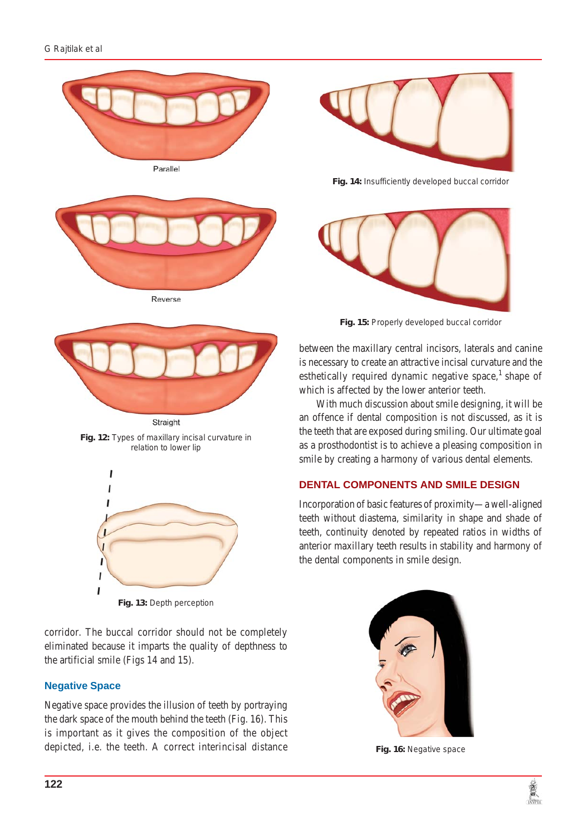



**Fig. 12:** Types of maxillary incisal curvature in relation to lower lip



**Fig. 13:** Depth perception

corridor. The buccal corridor should not be completely eliminated because it imparts the quality of depthness to the artificial smile (Figs 14 and 15).

# **Negative Space**

Negative space provides the illusion of teeth by portraying the dark space of the mouth behind the teeth (Fig. 16). This is important as it gives the composition of the object depicted, i.e. the teeth. A correct interincisal distance



**Fig. 14:** Insufficiently developed buccal corridor



**Fig. 15:** Properly developed buccal corridor

between the maxillary central incisors, laterals and canine is necessary to create an attractive incisal curvature and the esthetically required dynamic negative space, $<sup>1</sup>$  shape of</sup> which is affected by the lower anterior teeth.

 With much discussion about smile designing, it will be an offence if dental composition is not discussed, as it is the teeth that are exposed during smiling. Our ultimate goal as a prosthodontist is to achieve a pleasing composition in smile by creating a harmony of various dental elements.

# **DENTAL COMPONENTS AND SMILE DESIGN**

Incorporation of basic features of proximity—a well-aligned teeth without diastema, similarity in shape and shade of teeth, continuity denoted by repeated ratios in widths of anterior maxillary teeth results in stability and harmony of the dental components in smile design.



**Fig. 16:** Negative space

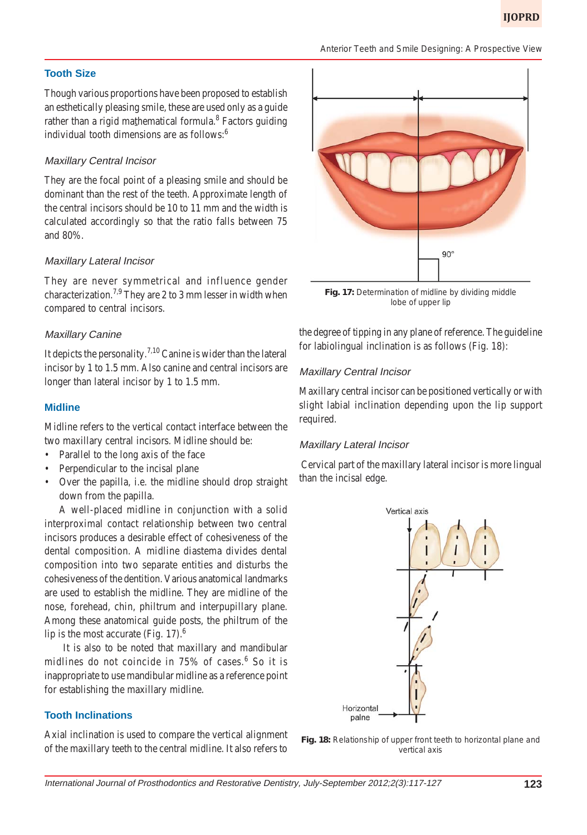#### *Anterior Teeth and Smile Designing: A Prospective View*

#### **Tooth Size**

Though various proportions have been proposed to establish an esthetically pleasing smile, these are used only as a guide rather than a rigid mathematical formula.<sup>8</sup> Factors guiding individual tooth dimensions are as follows:<sup>6</sup>

#### Maxillary Central Incisor

They are the focal point of a pleasing smile and should be dominant than the rest of the teeth. Approximate length of the central incisors should be 10 to 11 mm and the width is calculated accordingly so that the ratio falls between 75 and 80%.

#### Maxillary Lateral Incisor

They are never symmetrical and influence gender characterization.<sup>7,9</sup> They are 2 to 3 mm lesser in width when compared to central incisors.

#### Maxillary Canine

It depicts the personality.<sup>7,10</sup> Canine is wider than the lateral incisor by 1 to 1.5 mm. Also canine and central incisors are longer than lateral incisor by 1 to 1.5 mm.

#### **Midline**

Midline refers to the vertical contact interface between the two maxillary central incisors. Midline should be:

- Parallel to the long axis of the face
- Perpendicular to the incisal plane
- Over the papilla, i.e. the midline should drop straight down from the papilla.

A well-placed midline in conjunction with a solid interproximal contact relationship between two central incisors produces a desirable effect of cohesiveness of the dental composition. A midline diastema divides dental composition into two separate entities and disturbs the cohesiveness of the dentition. Various anatomical landmarks are used to establish the midline. They are midline of the nose, forehead, chin, philtrum and interpupillary plane. Among these anatomical guide posts, the philtrum of the lip is the most accurate (Fig. 17). $<sup>6</sup>$ </sup>

 It is also to be noted that maxillary and mandibular midlines do not coincide in 75% of cases.<sup>6</sup> So it is inappropriate to use mandibular midline as a reference point for establishing the maxillary midline.

#### **Tooth Inclinations**

Axial inclination is used to compare the vertical alignment of the maxillary teeth to the central midline. It also refers to



**Fig. 17:** Determination of midline by dividing middle lobe of upper lip

the degree of tipping in any plane of reference. The guideline for labiolingual inclination is as follows (Fig. 18):

#### Maxillary Central Incisor

Maxillary central incisor can be positioned vertically or with slight labial inclination depending upon the lip support required.

#### Maxillary Lateral Incisor

Cervical part of the maxillary lateral incisor is more lingual than the incisal edge.



**Fig. 18:** Relationship of upper front teeth to horizontal plane and vertical axis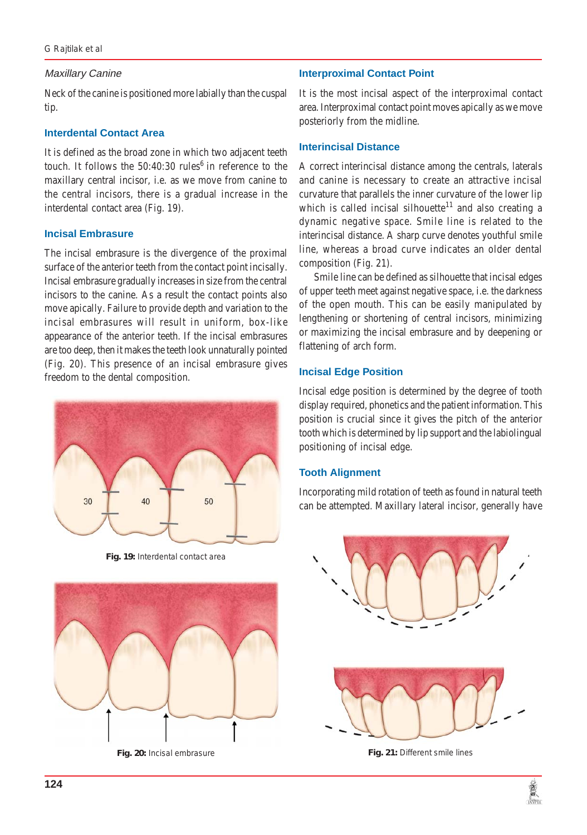## Maxillary Canine

Neck of the canine is positioned more labially than the cuspal tip.

## **Interdental Contact Area**

It is defined as the broad zone in which two adjacent teeth touch. It follows the  $50:40:30$  rules<sup>6</sup> in reference to the maxillary central incisor, i.e. as we move from canine to the central incisors, there is a gradual increase in the interdental contact area (Fig. 19).

# **Incisal Embrasure**

The incisal embrasure is the divergence of the proximal surface of the anterior teeth from the contact point incisally. Incisal embrasure gradually increases in size from the central incisors to the canine. As a result the contact points also move apically. Failure to provide depth and variation to the incisal embrasures will result in uniform, box-like appearance of the anterior teeth. If the incisal embrasures are too deep, then it makes the teeth look unnaturally pointed (Fig. 20). This presence of an incisal embrasure gives freedom to the dental composition.



**Fig. 19:** Interdental contact area



# **Interproximal Contact Point**

It is the most incisal aspect of the interproximal contact area. Interproximal contact point moves apically as we move posteriorly from the midline.

## **Interincisal Distance**

A correct interincisal distance among the centrals, laterals and canine is necessary to create an attractive incisal curvature that parallels the inner curvature of the lower lip which is called incisal silhouette<sup>11</sup> and also creating a dynamic negative space. Smile line is related to the interincisal distance. A sharp curve denotes youthful smile line, whereas a broad curve indicates an older dental composition (Fig. 21).

Smile line can be defined as silhouette that incisal edges of upper teeth meet against negative space, i.e. the darkness of the open mouth. This can be easily manipulated by lengthening or shortening of central incisors, minimizing or maximizing the incisal embrasure and by deepening or flattening of arch form.

## **Incisal Edge Position**

Incisal edge position is determined by the degree of tooth display required, phonetics and the patient information. This position is crucial since it gives the pitch of the anterior tooth which is determined by lip support and the labiolingual positioning of incisal edge.

# **Tooth Alignment**

Incorporating mild rotation of teeth as found in natural teeth can be attempted. Maxillary lateral incisor, generally have



**Fig. 20:** Incisal embrasure **Fig. 21:** Different smile lines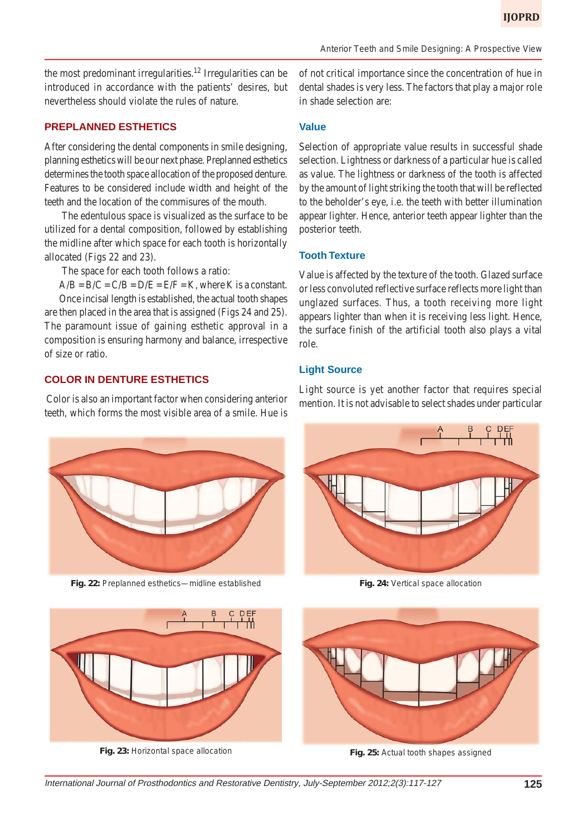the most predominant irregularities.<sup>12</sup> Irregularities can be introduced in accordance with the patients' desires, but nevertheless should violate the rules of nature.

## **PREPLANNED ESTHETICS**

After considering the dental components in smile designing, planning esthetics will be our next phase. Preplanned esthetics determines the tooth space allocation of the proposed denture. Features to be considered include width and height of the teeth and the location of the commisures of the mouth.

 The edentulous space is visualized as the surface to be utilized for a dental composition, followed by establishing the midline after which space for each tooth is horizontally allocated (Figs 22 and 23).

The space for each tooth follows a ratio:

 $A/B = B/C = C/B = D/E = E/F = K$ , where K is a constant.

Once incisal length is established, the actual tooth shapes are then placed in the area that is assigned (Figs 24 and 25). The paramount issue of gaining esthetic approval in a composition is ensuring harmony and balance, irrespective of size or ratio.

### **COLOR IN DENTURE ESTHETICS**

 Color is also an important factor when considering anterior teeth, which forms the most visible area of a smile. Hue is

of not critical importance since the concentration of hue in dental shades is very less. The factors that play a major role in shade selection are:

## **Value**

Selection of appropriate value results in successful shade selection. Lightness or darkness of a particular hue is called as value. The lightness or darkness of the tooth is affected by the amount of light striking the tooth that will be reflected to the beholder's eye, i.e. the teeth with better illumination appear lighter. Hence, anterior teeth appear lighter than the posterior teeth.

#### **Tooth Texture**

Value is affected by the texture of the tooth. Glazed surface or less convoluted reflective surface reflects more light than unglazed surfaces. Thus, a tooth receiving more light appears lighter than when it is receiving less light. Hence, the surface finish of the artificial tooth also plays a vital role.

#### **Light Source**

Light source is yet another factor that requires special mention. It is not advisable to select shades under particular



**Fig. 22:** Preplanned esthetics—midline established



**Fig. 24:** Vertical space allocation



**Fig. 23:** Horizontal space allocation



**Fig. 25:** Actual tooth shapes assigned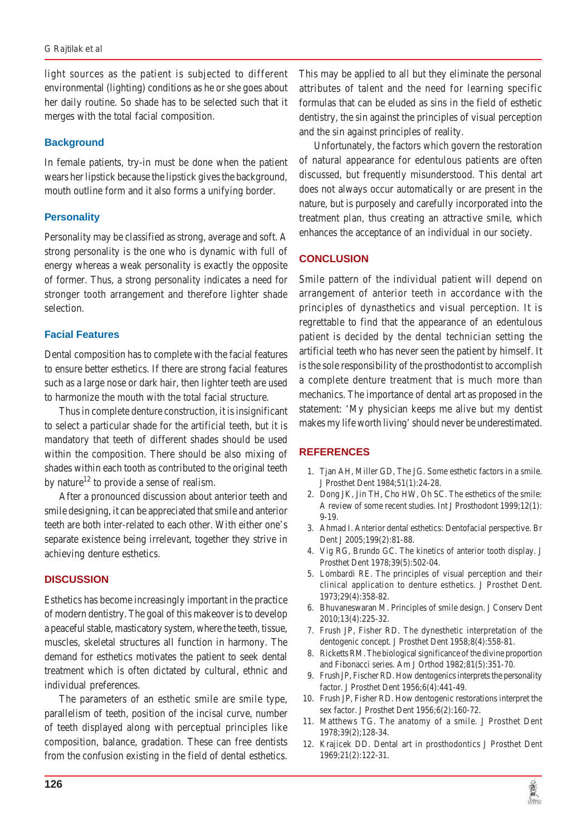light sources as the patient is subjected to different environmental (lighting) conditions as he or she goes about her daily routine. So shade has to be selected such that it merges with the total facial composition.

## **Background**

In female patients, try-in must be done when the patient wears her lipstick because the lipstick gives the background, mouth outline form and it also forms a unifying border.

## **Personality**

Personality may be classified as strong, average and soft. A strong personality is the one who is dynamic with full of energy whereas a weak personality is exactly the opposite of former. Thus, a strong personality indicates a need for stronger tooth arrangement and therefore lighter shade selection.

## **Facial Features**

Dental composition has to complete with the facial features to ensure better esthetics. If there are strong facial features such as a large nose or dark hair, then lighter teeth are used to harmonize the mouth with the total facial structure.

Thus in complete denture construction, it is insignificant to select a particular shade for the artificial teeth, but it is mandatory that teeth of different shades should be used within the composition. There should be also mixing of shades within each tooth as contributed to the original teeth by nature<sup>12</sup> to provide a sense of realism.

After a pronounced discussion about anterior teeth and smile designing, it can be appreciated that smile and anterior teeth are both inter-related to each other. With either one's separate existence being irrelevant, together they strive in achieving denture esthetics.

# **DISCUSSION**

Esthetics has become increasingly important in the practice of modern dentistry. The goal of this makeover is to develop a peaceful stable, masticatory system, where the teeth, tissue, muscles, skeletal structures all function in harmony. The demand for esthetics motivates the patient to seek dental treatment which is often dictated by cultural, ethnic and individual preferences.

The parameters of an esthetic smile are smile type, parallelism of teeth, position of the incisal curve, number of teeth displayed along with perceptual principles like composition, balance, gradation. These can free dentists from the confusion existing in the field of dental esthetics.

This may be applied to all but they eliminate the personal attributes of talent and the need for learning specific formulas that can be eluded as sins in the field of esthetic dentistry, the sin against the principles of visual perception and the sin against principles of reality.

Unfortunately, the factors which govern the restoration of natural appearance for edentulous patients are often discussed, but frequently misunderstood. This dental art does not always occur automatically or are present in the nature, but is purposely and carefully incorporated into the treatment plan, thus creating an attractive smile, which enhances the acceptance of an individual in our society.

# **CONCLUSION**

Smile pattern of the individual patient will depend on arrangement of anterior teeth in accordance with the principles of dynasthetics and visual perception. It is regrettable to find that the appearance of an edentulous patient is decided by the dental technician setting the artificial teeth who has never seen the patient by himself. It is the sole responsibility of the prosthodontist to accomplish a complete denture treatment that is much more than mechanics. The importance of dental art as proposed in the statement: 'My physician keeps me alive but my dentist makes my life worth living' should never be underestimated.

#### **REFERENCES**

- 1. Tjan AH, Miller GD, The JG. Some esthetic factors in a smile. J Prosthet Dent 1984;51(1):24-28.
- 2. Dong JK, Jin TH, Cho HW, Oh SC. The esthetics of the smile: A review of some recent studies. Int J Prosthodont 1999;12(1): 9-19.
- 3. Ahmad I. Anterior dental esthetics: Dentofacial perspective. Br Dent J 2005;199(2):81-88.
- 4. Vig RG, Brundo GC. The kinetics of anterior tooth display. J Prosthet Dent 1978;39(5):502-04.
- 5. Lombardi RE. The principles of visual perception and their clinical application to denture esthetics. J Prosthet Dent. 1973;29(4):358-82.
- 6. Bhuvaneswaran M. Principles of smile design. J Conserv Dent 2010;13(4):225-32.
- 7. Frush JP, Fisher RD. The dynesthetic interpretation of the dentogenic concept. J Prosthet Dent 1958;8(4):558-81.
- 8. Ricketts RM. The biological significance of the divine proportion and Fibonacci series. Am J Orthod 1982;81(5):351-70.
- 9. Frush JP, Fischer RD. How dentogenics interprets the personality factor. J Prosthet Dent 1956;6(4):441-49.
- 10. Frush JP, Fisher RD. How dentogenic restorations interpret the sex factor. J Prosthet Dent 1956;6(2):160-72.
- 11. Matthews TG. The anatomy of a smile. J Prosthet Dent 1978;39(2);128-34.
- 12. Krajicek DD. Dental art in prosthodontics J Prosthet Dent 1969;21(2):122-31.